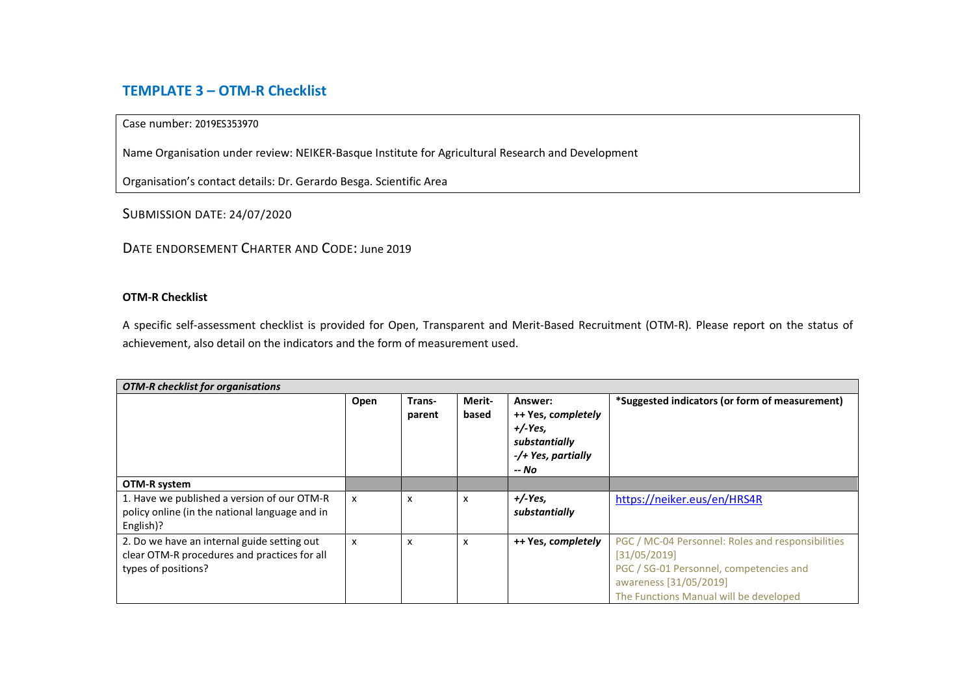## **TEMPLATE 3 – OTM-R Checklist**

## Case number: 2019ES353970

Name Organisation under review: NEIKER-Basque Institute for Agricultural Research and Development

Organisation's contact details: Dr. Gerardo Besga. Scientific Area

SUBMISSION DATE: 24/07/2020

DATE ENDORSEMENT CHARTER AND CODE: June 2019

## **OTM-R Checklist**

A specific self-assessment checklist is provided for Open, Transparent and Merit-Based Recruitment (OTM-R). Please report on the status of achievement, also detail on the indicators and the form of measurement used.

| <b>OTM-R</b> checklist for organisations                                                                           |                           |                  |                 |                                                                                           |                                                                                                                                                                                  |  |  |  |
|--------------------------------------------------------------------------------------------------------------------|---------------------------|------------------|-----------------|-------------------------------------------------------------------------------------------|----------------------------------------------------------------------------------------------------------------------------------------------------------------------------------|--|--|--|
|                                                                                                                    | Open                      | Trans-<br>parent | Merit-<br>based | Answer:<br>++ Yes, completely<br>$+/-Yes$<br>substantially<br>-/+ Yes, partially<br>-- No | *Suggested indicators (or form of measurement)                                                                                                                                   |  |  |  |
| OTM-R system                                                                                                       |                           |                  |                 |                                                                                           |                                                                                                                                                                                  |  |  |  |
| 1. Have we published a version of our OTM-R<br>policy online (in the national language and in<br>English)?         | $\boldsymbol{\mathsf{x}}$ | X                | X               | $+/-Yes,$<br>substantially                                                                | https://neiker.eus/en/HRS4R                                                                                                                                                      |  |  |  |
| 2. Do we have an internal guide setting out<br>clear OTM-R procedures and practices for all<br>types of positions? | $\boldsymbol{\mathsf{x}}$ | X                | X               | ++ Yes, completely                                                                        | PGC / MC-04 Personnel: Roles and responsibilities<br>[31/05/2019]<br>PGC / SG-01 Personnel, competencies and<br>awareness [31/05/2019]<br>The Functions Manual will be developed |  |  |  |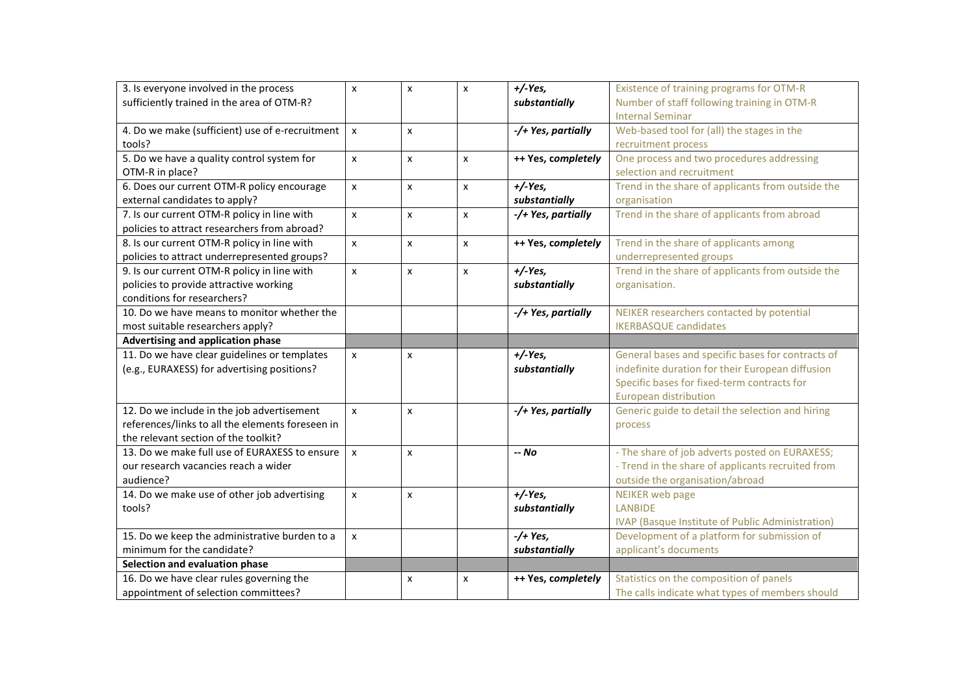| 3. Is everyone involved in the process           | X                  | $\pmb{\times}$ | x | $+/Yes,$           | Existence of training programs for OTM-R          |
|--------------------------------------------------|--------------------|----------------|---|--------------------|---------------------------------------------------|
| sufficiently trained in the area of OTM-R?       |                    |                |   | substantially      | Number of staff following training in OTM-R       |
|                                                  |                    |                |   |                    | <b>Internal Seminar</b>                           |
| 4. Do we make (sufficient) use of e-recruitment  | X                  | X              |   | -/+ Yes, partially | Web-based tool for (all) the stages in the        |
| tools?                                           |                    |                |   |                    | recruitment process                               |
| 5. Do we have a quality control system for       | X                  | X              | x | ++ Yes, completely | One process and two procedures addressing         |
| OTM-R in place?                                  |                    |                |   |                    | selection and recruitment                         |
| 6. Does our current OTM-R policy encourage       | X                  | X              | x | $+/-Yes,$          | Trend in the share of applicants from outside the |
| external candidates to apply?                    |                    |                |   | substantially      | organisation                                      |
| 7. Is our current OTM-R policy in line with      | X                  | X              | x | -/+ Yes, partially | Trend in the share of applicants from abroad      |
| policies to attract researchers from abroad?     |                    |                |   |                    |                                                   |
| 8. Is our current OTM-R policy in line with      | X                  | X              | x | ++ Yes, completely | Trend in the share of applicants among            |
| policies to attract underrepresented groups?     |                    |                |   |                    | underrepresented groups                           |
| 9. Is our current OTM-R policy in line with      | X                  | X              | x | $+/-Yes$           | Trend in the share of applicants from outside the |
| policies to provide attractive working           |                    |                |   | substantially      | organisation.                                     |
| conditions for researchers?                      |                    |                |   |                    |                                                   |
| 10. Do we have means to monitor whether the      |                    |                |   | -/+ Yes, partially | NEIKER researchers contacted by potential         |
| most suitable researchers apply?                 |                    |                |   |                    | <b>IKERBASQUE candidates</b>                      |
| Advertising and application phase                |                    |                |   |                    |                                                   |
| 11. Do we have clear guidelines or templates     | $\pmb{\mathsf{x}}$ | X              |   | $+/-Yes$           | General bases and specific bases for contracts of |
| (e.g., EURAXESS) for advertising positions?      |                    |                |   | substantially      | indefinite duration for their European diffusion  |
|                                                  |                    |                |   |                    | Specific bases for fixed-term contracts for       |
|                                                  |                    |                |   |                    | European distribution                             |
| 12. Do we include in the job advertisement       | X                  | $\pmb{\times}$ |   | -/+ Yes, partially | Generic guide to detail the selection and hiring  |
| references/links to all the elements foreseen in |                    |                |   |                    | process                                           |
| the relevant section of the toolkit?             |                    |                |   |                    |                                                   |
| 13. Do we make full use of EURAXESS to ensure    | X                  | X              |   | -- No              | - The share of job adverts posted on EURAXESS;    |
| our research vacancies reach a wider             |                    |                |   |                    | - Trend in the share of applicants recruited from |
| audience?                                        |                    |                |   |                    | outside the organisation/abroad                   |
| 14. Do we make use of other job advertising      | X                  | X              |   | $+/-Yes$           | <b>NEIKER</b> web page                            |
| tools?                                           |                    |                |   | substantially      | <b>LANBIDE</b>                                    |
|                                                  |                    |                |   |                    | IVAP (Basque Institute of Public Administration)  |
| 15. Do we keep the administrative burden to a    | X                  |                |   | $-$ /+ Yes,        | Development of a platform for submission of       |
| minimum for the candidate?                       |                    |                |   | substantially      | applicant's documents                             |
| Selection and evaluation phase                   |                    |                |   |                    |                                                   |
| 16. Do we have clear rules governing the         |                    | X              | x | ++ Yes, completely | Statistics on the composition of panels           |
| appointment of selection committees?             |                    |                |   |                    | The calls indicate what types of members should   |